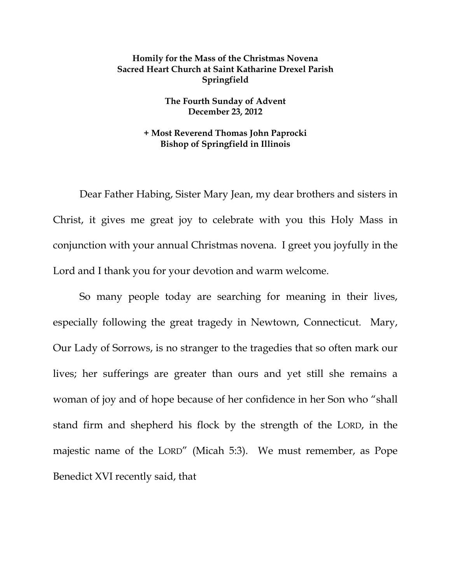## **Homily for the Mass of the Christmas Novena Sacred Heart Church at Saint Katharine Drexel Parish Springfield**

**The Fourth Sunday of Advent December 23, 2012** 

## **+ Most Reverend Thomas John Paprocki Bishop of Springfield in Illinois**

Dear Father Habing, Sister Mary Jean, my dear brothers and sisters in Christ, it gives me great joy to celebrate with you this Holy Mass in conjunction with your annual Christmas novena. I greet you joyfully in the Lord and I thank you for your devotion and warm welcome.

So many people today are searching for meaning in their lives, especially following the great tragedy in Newtown, Connecticut. Mary, Our Lady of Sorrows, is no stranger to the tragedies that so often mark our lives; her sufferings are greater than ours and yet still she remains a woman of joy and of hope because of her confidence in her Son who "shall stand firm and shepherd his flock by the strength of the LORD, in the majestic name of the LORD" (Micah 5:3). We must remember, as Pope Benedict XVI recently said, that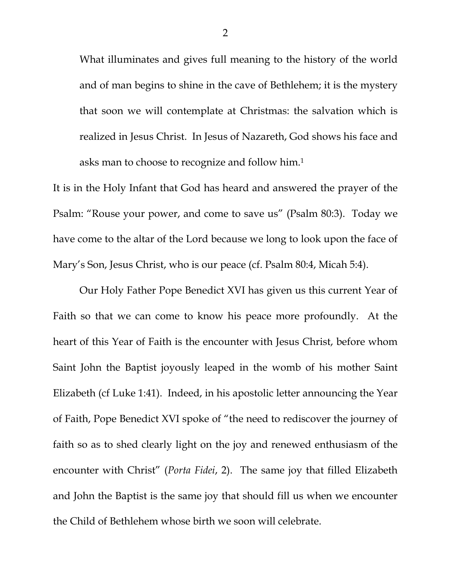What illuminates and gives full meaning to the history of the world and of man begins to shine in the cave of Bethlehem; it is the mystery that soon we will contemplate at Christmas: the salvation which is realized in Jesus Christ. In Jesus of Nazareth, God shows his face and asks man to choose to recognize and follow him.1

It is in the Holy Infant that God has heard and answered the prayer of the Psalm: "Rouse your power, and come to save us" (Psalm 80:3). Today we have come to the altar of the Lord because we long to look upon the face of Mary's Son, Jesus Christ, who is our peace (cf. Psalm 80:4, Micah 5:4).

Our Holy Father Pope Benedict XVI has given us this current Year of Faith so that we can come to know his peace more profoundly. At the heart of this Year of Faith is the encounter with Jesus Christ, before whom Saint John the Baptist joyously leaped in the womb of his mother Saint Elizabeth (cf Luke 1:41). Indeed, in his apostolic letter announcing the Year of Faith, Pope Benedict XVI spoke of "the need to rediscover the journey of faith so as to shed clearly light on the joy and renewed enthusiasm of the encounter with Christ" (*Porta Fidei*, 2). The same joy that filled Elizabeth and John the Baptist is the same joy that should fill us when we encounter the Child of Bethlehem whose birth we soon will celebrate.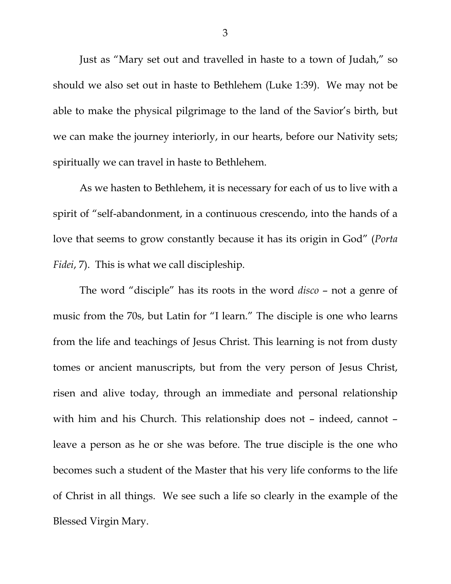Just as "Mary set out and travelled in haste to a town of Judah," so should we also set out in haste to Bethlehem (Luke 1:39). We may not be able to make the physical pilgrimage to the land of the Savior's birth, but we can make the journey interiorly, in our hearts, before our Nativity sets; spiritually we can travel in haste to Bethlehem.

As we hasten to Bethlehem, it is necessary for each of us to live with a spirit of "self-abandonment, in a continuous crescendo, into the hands of a love that seems to grow constantly because it has its origin in God" (*Porta Fidei*, 7). This is what we call discipleship.

The word "disciple" has its roots in the word *disco* – not a genre of music from the 70s, but Latin for "I learn." The disciple is one who learns from the life and teachings of Jesus Christ. This learning is not from dusty tomes or ancient manuscripts, but from the very person of Jesus Christ, risen and alive today, through an immediate and personal relationship with him and his Church. This relationship does not – indeed, cannot – leave a person as he or she was before. The true disciple is the one who becomes such a student of the Master that his very life conforms to the life of Christ in all things. We see such a life so clearly in the example of the Blessed Virgin Mary.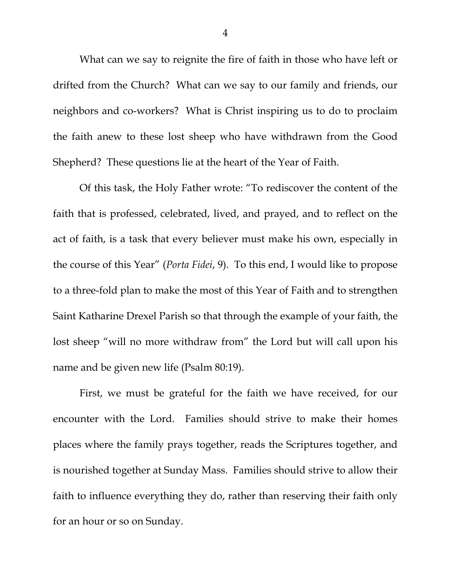What can we say to reignite the fire of faith in those who have left or drifted from the Church? What can we say to our family and friends, our neighbors and co-workers? What is Christ inspiring us to do to proclaim the faith anew to these lost sheep who have withdrawn from the Good Shepherd? These questions lie at the heart of the Year of Faith.

Of this task, the Holy Father wrote: "To rediscover the content of the faith that is professed, celebrated, lived, and prayed, and to reflect on the act of faith, is a task that every believer must make his own, especially in the course of this Year" (*Porta Fidei*, 9). To this end, I would like to propose to a three-fold plan to make the most of this Year of Faith and to strengthen Saint Katharine Drexel Parish so that through the example of your faith, the lost sheep "will no more withdraw from" the Lord but will call upon his name and be given new life (Psalm 80:19).

 First, we must be grateful for the faith we have received, for our encounter with the Lord. Families should strive to make their homes places where the family prays together, reads the Scriptures together, and is nourished together at Sunday Mass. Families should strive to allow their faith to influence everything they do, rather than reserving their faith only for an hour or so on Sunday.

4